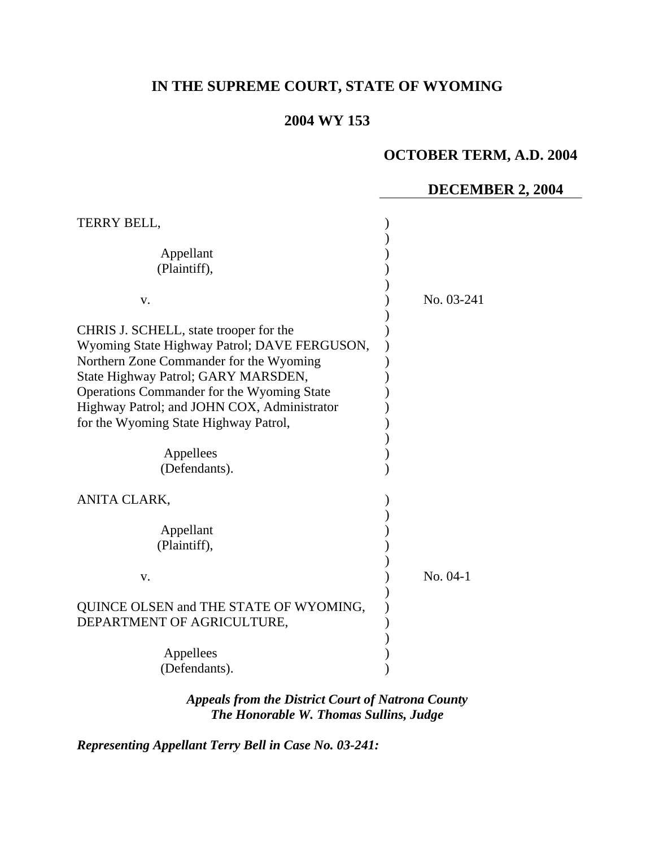# **IN THE SUPREME COURT, STATE OF WYOMING**

# **2004 WY 153**

# **OCTOBER TERM, A.D. 2004**

#### **DECEMBER 2, 2004**

| TERRY BELL,                                                                                                                                                                                                                                                                                                                                  |            |
|----------------------------------------------------------------------------------------------------------------------------------------------------------------------------------------------------------------------------------------------------------------------------------------------------------------------------------------------|------------|
| Appellant<br>(Plaintiff),<br>V.                                                                                                                                                                                                                                                                                                              | No. 03-241 |
| CHRIS J. SCHELL, state trooper for the<br>Wyoming State Highway Patrol; DAVE FERGUSON,<br>Northern Zone Commander for the Wyoming<br>State Highway Patrol; GARY MARSDEN,<br>Operations Commander for the Wyoming State<br>Highway Patrol; and JOHN COX, Administrator<br>for the Wyoming State Highway Patrol,<br>Appellees<br>(Defendants). |            |
| ANITA CLARK,<br>Appellant<br>(Plaintiff),<br>V.                                                                                                                                                                                                                                                                                              | No. 04-1   |
| QUINCE OLSEN and THE STATE OF WYOMING,<br>DEPARTMENT OF AGRICULTURE,<br>Appellees<br>(Defendants).                                                                                                                                                                                                                                           |            |

*Appeals from the District Court of Natrona County The Honorable W. Thomas Sullins, Judge* 

*Representing Appellant Terry Bell in Case No. 03-241:*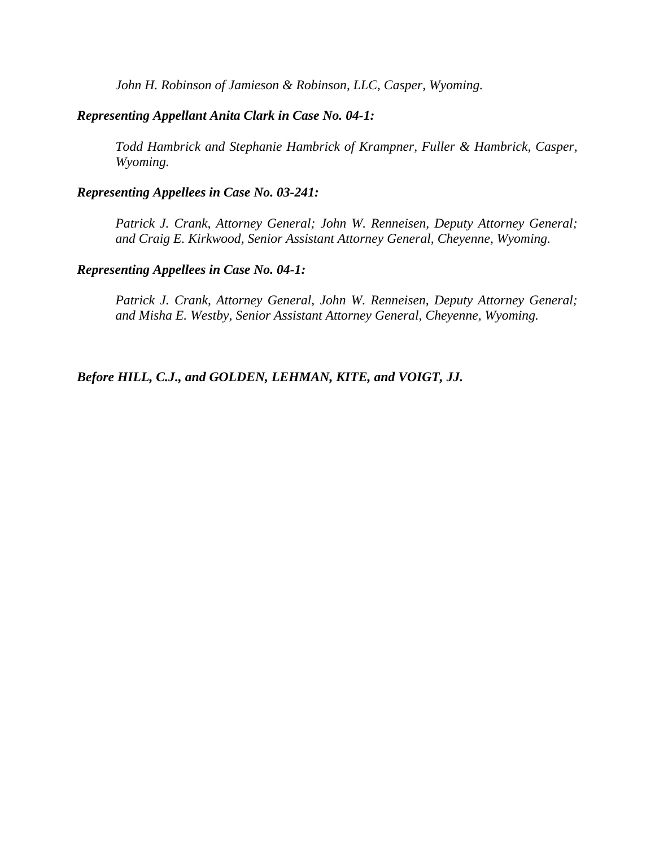*John H. Robinson of Jamieson & Robinson, LLC, Casper, Wyoming.* 

#### *Representing Appellant Anita Clark in Case No. 04-1:*

 *Todd Hambrick and Stephanie Hambrick of Krampner, Fuller & Hambrick, Casper, Wyoming.* 

#### *Representing Appellees in Case No. 03-241:*

 *Patrick J. Crank, Attorney General; John W. Renneisen, Deputy Attorney General; and Craig E. Kirkwood, Senior Assistant Attorney General, Cheyenne, Wyoming.* 

#### *Representing Appellees in Case No. 04-1:*

 *Patrick J. Crank, Attorney General, John W. Renneisen, Deputy Attorney General; and Misha E. Westby, Senior Assistant Attorney General, Cheyenne, Wyoming.* 

*Before HILL, C.J., and GOLDEN, LEHMAN, KITE, and VOIGT, JJ.*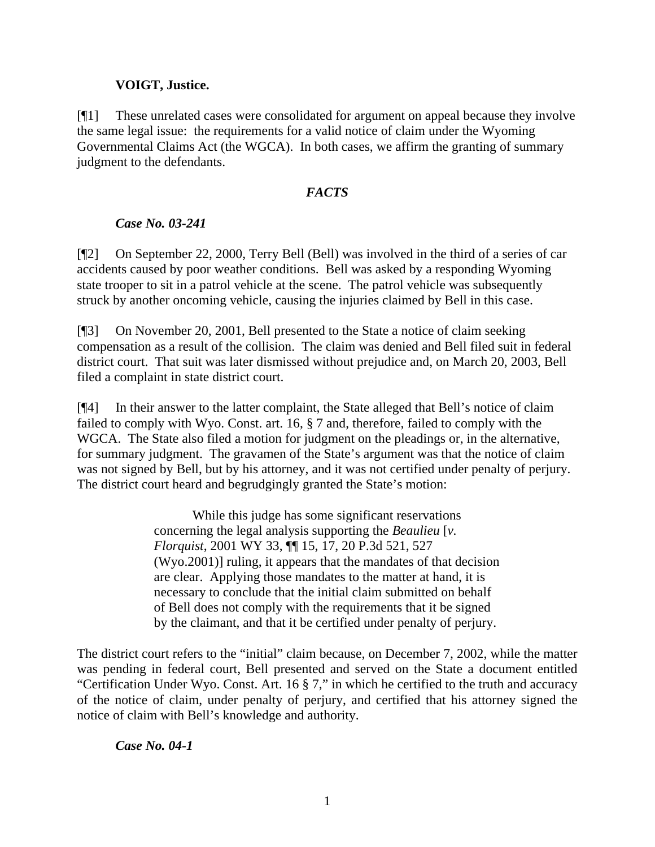#### **VOIGT, Justice.**

[¶1] These unrelated cases were consolidated for argument on appeal because they involve the same legal issue: the requirements for a valid notice of claim under the Wyoming Governmental Claims Act (the WGCA). In both cases, we affirm the granting of summary judgment to the defendants.

#### *FACTS*

# *Case No. 03-241*

[¶2] On September 22, 2000, Terry Bell (Bell) was involved in the third of a series of car accidents caused by poor weather conditions. Bell was asked by a responding Wyoming state trooper to sit in a patrol vehicle at the scene. The patrol vehicle was subsequently struck by another oncoming vehicle, causing the injuries claimed by Bell in this case.

[¶3] On November 20, 2001, Bell presented to the State a notice of claim seeking compensation as a result of the collision. The claim was denied and Bell filed suit in federal district court. That suit was later dismissed without prejudice and, on March 20, 2003, Bell filed a complaint in state district court.

[¶4] In their answer to the latter complaint, the State alleged that Bell's notice of claim failed to comply with Wyo. Const. art. 16, § 7 and, therefore, failed to comply with the WGCA. The State also filed a motion for judgment on the pleadings or, in the alternative, for summary judgment. The gravamen of the State's argument was that the notice of claim was not signed by Bell, but by his attorney, and it was not certified under penalty of perjury. The district court heard and begrudgingly granted the State's motion:

> While this judge has some significant reservations concerning the legal analysis supporting the *Beaulieu* [*v. Florquist*, 2001 WY 33, ¶¶ 15, 17, 20 P.3d 521, 527 (Wyo.2001)] ruling, it appears that the mandates of that decision are clear. Applying those mandates to the matter at hand, it is necessary to conclude that the initial claim submitted on behalf of Bell does not comply with the requirements that it be signed by the claimant, and that it be certified under penalty of perjury.

The district court refers to the "initial" claim because, on December 7, 2002, while the matter was pending in federal court, Bell presented and served on the State a document entitled "Certification Under Wyo. Const. Art. 16 § 7," in which he certified to the truth and accuracy of the notice of claim, under penalty of perjury, and certified that his attorney signed the notice of claim with Bell's knowledge and authority.

# *Case No. 04-1*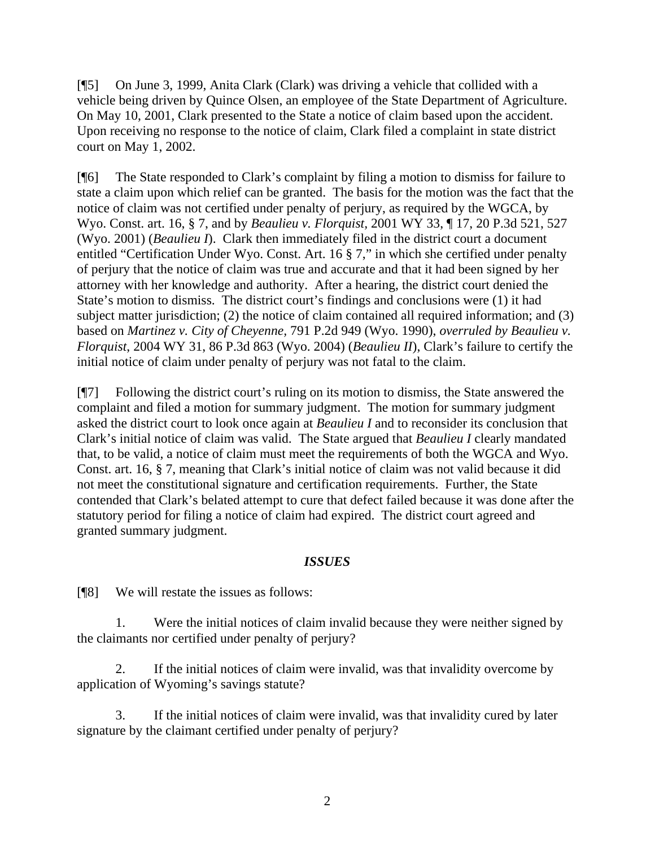[¶5] On June 3, 1999, Anita Clark (Clark) was driving a vehicle that collided with a vehicle being driven by Quince Olsen, an employee of the State Department of Agriculture. On May 10, 2001, Clark presented to the State a notice of claim based upon the accident. Upon receiving no response to the notice of claim, Clark filed a complaint in state district court on May 1, 2002.

[¶6] The State responded to Clark's complaint by filing a motion to dismiss for failure to state a claim upon which relief can be granted. The basis for the motion was the fact that the notice of claim was not certified under penalty of perjury, as required by the WGCA, by Wyo. Const. art. 16, § 7, and by *Beaulieu v. Florquist,* 2001 WY 33, ¶ 17, 20 P.3d 521, 527 (Wyo. 2001) (*Beaulieu I*). Clark then immediately filed in the district court a document entitled "Certification Under Wyo. Const. Art. 16 § 7," in which she certified under penalty of perjury that the notice of claim was true and accurate and that it had been signed by her attorney with her knowledge and authority. After a hearing, the district court denied the State's motion to dismiss. The district court's findings and conclusions were (1) it had subject matter jurisdiction; (2) the notice of claim contained all required information; and (3) based on *Martinez v. City of Cheyenne,* 791 P.2d 949 (Wyo. 1990), *overruled by Beaulieu v. Florquist*, 2004 WY 31, 86 P.3d 863 (Wyo. 2004) (*Beaulieu II*), Clark's failure to certify the initial notice of claim under penalty of perjury was not fatal to the claim.

[¶7] Following the district court's ruling on its motion to dismiss, the State answered the complaint and filed a motion for summary judgment. The motion for summary judgment asked the district court to look once again at *Beaulieu I* and to reconsider its conclusion that Clark's initial notice of claim was valid. The State argued that *Beaulieu I* clearly mandated that, to be valid, a notice of claim must meet the requirements of both the WGCA and Wyo. Const. art. 16, § 7, meaning that Clark's initial notice of claim was not valid because it did not meet the constitutional signature and certification requirements. Further, the State contended that Clark's belated attempt to cure that defect failed because it was done after the statutory period for filing a notice of claim had expired. The district court agreed and granted summary judgment.

#### *ISSUES*

[¶8] We will restate the issues as follows:

1. Were the initial notices of claim invalid because they were neither signed by the claimants nor certified under penalty of perjury?

2. If the initial notices of claim were invalid, was that invalidity overcome by application of Wyoming's savings statute?

3. If the initial notices of claim were invalid, was that invalidity cured by later signature by the claimant certified under penalty of perjury?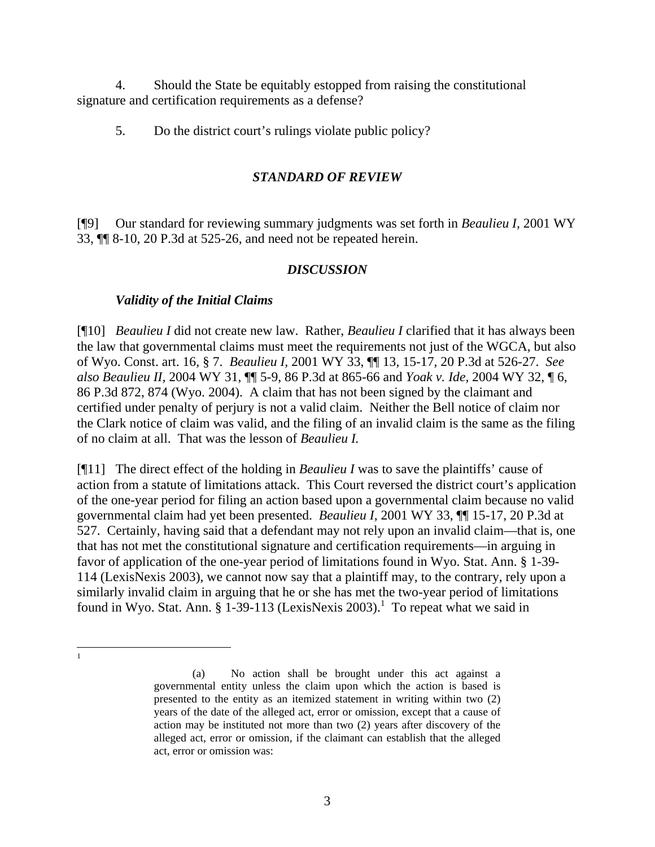4. Should the State be equitably estopped from raising the constitutional signature and certification requirements as a defense?

5. Do the district court's rulings violate public policy?

# *STANDARD OF REVIEW*

[¶9] Our standard for reviewing summary judgments was set forth in *Beaulieu I,* 2001 WY 33, ¶¶ 8-10, 20 P.3d at 525-26, and need not be repeated herein.

# *DISCUSSION*

# *Validity of the Initial Claims*

[¶10] *Beaulieu I* did not create new law. Rather, *Beaulieu I* clarified that it has always been the law that governmental claims must meet the requirements not just of the WGCA, but also of Wyo. Const. art. 16, § 7. *Beaulieu I,* 2001 WY 33, ¶¶ 13, 15-17, 20 P.3d at 526-27. *See also Beaulieu II,* 2004 WY 31, ¶¶ 5-9, 86 P.3d at 865-66 and *Yoak v. Ide,* 2004 WY 32, ¶ 6, 86 P.3d 872, 874 (Wyo. 2004). A claim that has not been signed by the claimant and certified under penalty of perjury is not a valid claim. Neither the Bell notice of claim nor the Clark notice of claim was valid, and the filing of an invalid claim is the same as the filing of no claim at all. That was the lesson of *Beaulieu I.*

[¶11] The direct effect of the holding in *Beaulieu I* was to save the plaintiffs' cause of action from a statute of limitations attack. This Court reversed the district court's application of the one-year period for filing an action based upon a governmental claim because no valid governmental claim had yet been presented. *Beaulieu I,* 2001 WY 33, ¶¶ 15-17, 20 P.3d at 527. Certainly, having said that a defendant may not rely upon an invalid claim—that is, one that has not met the constitutional signature and certification requirements—in arguing in favor of application of the one-year period of limitations found in Wyo. Stat. Ann. § 1-39- 114 (LexisNexis 2003), we cannot now say that a plaintiff may, to the contrary, rely upon a similarly invalid claim in arguing that he or she has met the two-year period of limitations found in Wyo. Stat. Ann.  $\S$  [1](#page-4-0)-39-113 (LexisNexis 2003).<sup>1</sup> To repeat what we said in

<span id="page-4-0"></span> $\frac{1}{1}$ 

<sup>(</sup>a) No action shall be brought under this act against a governmental entity unless the claim upon which the action is based is presented to the entity as an itemized statement in writing within two (2) years of the date of the alleged act, error or omission, except that a cause of action may be instituted not more than two (2) years after discovery of the alleged act, error or omission, if the claimant can establish that the alleged act, error or omission was: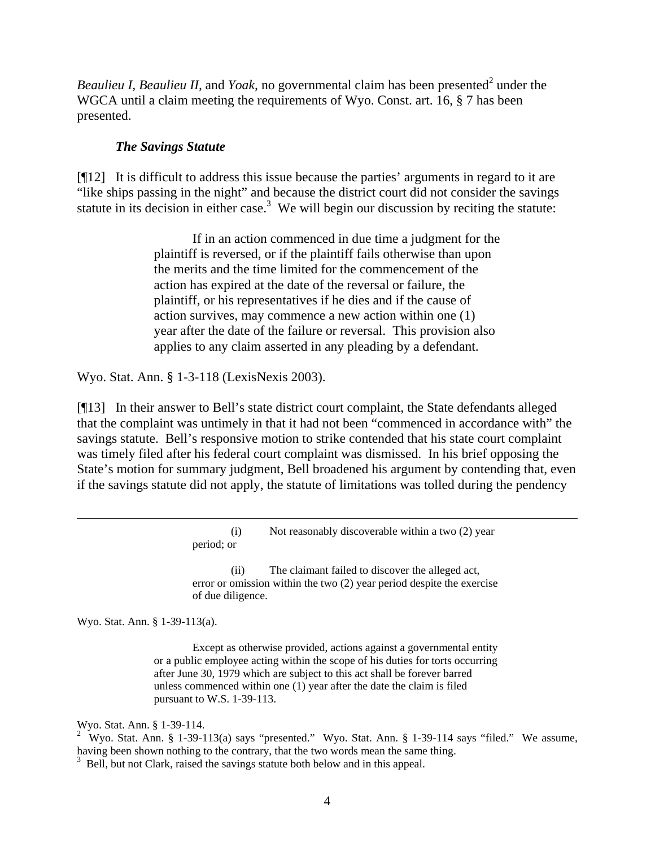*Beaulieu I, Beaulieu II,* and *Yoak*, no governmental claim has been presented<sup>[2](#page-5-0)</sup> under the WGCA until a claim meeting the requirements of Wyo. Const. art. 16, § 7 has been presented.

#### *The Savings Statute*

[¶12] It is difficult to address this issue because the parties' arguments in regard to it are "like ships passing in the night" and because the district court did not consider the savings statute in its decision in either case.<sup>[3](#page-5-1)</sup> We will begin our discussion by reciting the statute:

> If in an action commenced in due time a judgment for the plaintiff is reversed, or if the plaintiff fails otherwise than upon the merits and the time limited for the commencement of the action has expired at the date of the reversal or failure, the plaintiff, or his representatives if he dies and if the cause of action survives, may commence a new action within one (1) year after the date of the failure or reversal. This provision also applies to any claim asserted in any pleading by a defendant.

Wyo. Stat. Ann. § 1-3-118 (LexisNexis 2003).

[¶13] In their answer to Bell's state district court complaint, the State defendants alleged that the complaint was untimely in that it had not been "commenced in accordance with" the savings statute. Bell's responsive motion to strike contended that his state court complaint was timely filed after his federal court complaint was dismissed. In his brief opposing the State's motion for summary judgment, Bell broadened his argument by contending that, even if the savings statute did not apply, the statute of limitations was tolled during the pendency

> (i) Not reasonably discoverable within a two (2) year period; or

> (ii) The claimant failed to discover the alleged act, error or omission within the two (2) year period despite the exercise of due diligence.

Wyo. Stat. Ann. § 1-39-113(a).

 $\overline{a}$ 

Except as otherwise provided, actions against a governmental entity or a public employee acting within the scope of his duties for torts occurring after June 30, 1979 which are subject to this act shall be forever barred unless commenced within one (1) year after the date the claim is filed pursuant to W.S. 1-39-113.

Wyo. Stat. Ann. § 1-39-114.

<span id="page-5-0"></span><sup>2</sup> Wyo. Stat. Ann. § 1-39-113(a) says "presented." Wyo. Stat. Ann. § 1-39-114 says "filed." We assume, having been shown nothing to the contrary, that the two words mean the same thing.<br><sup>3</sup> Bell, but not Clark, raised the savings statute both below and in this appeal.

<span id="page-5-1"></span>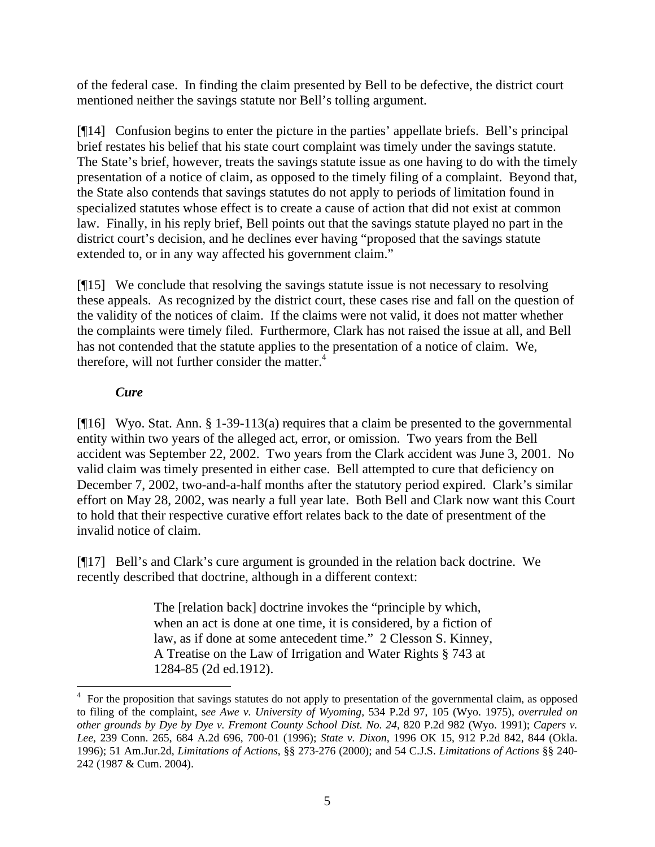of the federal case. In finding the claim presented by Bell to be defective, the district court mentioned neither the savings statute nor Bell's tolling argument.

[¶14] Confusion begins to enter the picture in the parties' appellate briefs. Bell's principal brief restates his belief that his state court complaint was timely under the savings statute. The State's brief, however, treats the savings statute issue as one having to do with the timely presentation of a notice of claim, as opposed to the timely filing of a complaint. Beyond that, the State also contends that savings statutes do not apply to periods of limitation found in specialized statutes whose effect is to create a cause of action that did not exist at common law. Finally, in his reply brief, Bell points out that the savings statute played no part in the district court's decision, and he declines ever having "proposed that the savings statute extended to, or in any way affected his government claim."

[¶15] We conclude that resolving the savings statute issue is not necessary to resolving these appeals. As recognized by the district court, these cases rise and fall on the question of the validity of the notices of claim. If the claims were not valid, it does not matter whether the complaints were timely filed. Furthermore, Clark has not raised the issue at all, and Bell has not contended that the statute applies to the presentation of a notice of claim. We, therefore, will not further consider the matter. $4$ 

# *Cure*

 $\overline{a}$ 

[¶16] Wyo. Stat. Ann. § 1-39-113(a) requires that a claim be presented to the governmental entity within two years of the alleged act, error, or omission. Two years from the Bell accident was September 22, 2002. Two years from the Clark accident was June 3, 2001. No valid claim was timely presented in either case. Bell attempted to cure that deficiency on December 7, 2002, two-and-a-half months after the statutory period expired. Clark's similar effort on May 28, 2002, was nearly a full year late. Both Bell and Clark now want this Court to hold that their respective curative effort relates back to the date of presentment of the invalid notice of claim.

[¶17] Bell's and Clark's cure argument is grounded in the relation back doctrine. We recently described that doctrine, although in a different context:

> The [relation back] doctrine invokes the "principle by which, when an act is done at one time, it is considered, by a fiction of law, as if done at some antecedent time." 2 Clesson S. Kinney, A Treatise on the Law of Irrigation and Water Rights § 743 at 1284-85 (2d ed.1912).

<span id="page-6-0"></span><sup>&</sup>lt;sup>4</sup> For the proposition that savings statutes do not apply to presentation of the governmental claim, as opposed to filing of the complaint, s*ee Awe v. University of Wyoming,* 534 P.2d 97, 105 (Wyo. 1975), *overruled on other grounds by Dye by Dye v. Fremont County School Dist. No. 24*, 820 P.2d 982 (Wyo. 1991); *Capers v. Lee,* 239 Conn. 265, 684 A.2d 696, 700-01 (1996); *State v. Dixon,* 1996 OK 15, 912 P.2d 842, 844 (Okla. 1996); 51 Am.Jur.2d, *Limitations of Actions*, §§ 273-276 (2000); and 54 C.J.S. *Limitations of Actions* §§ 240- 242 (1987 & Cum. 2004).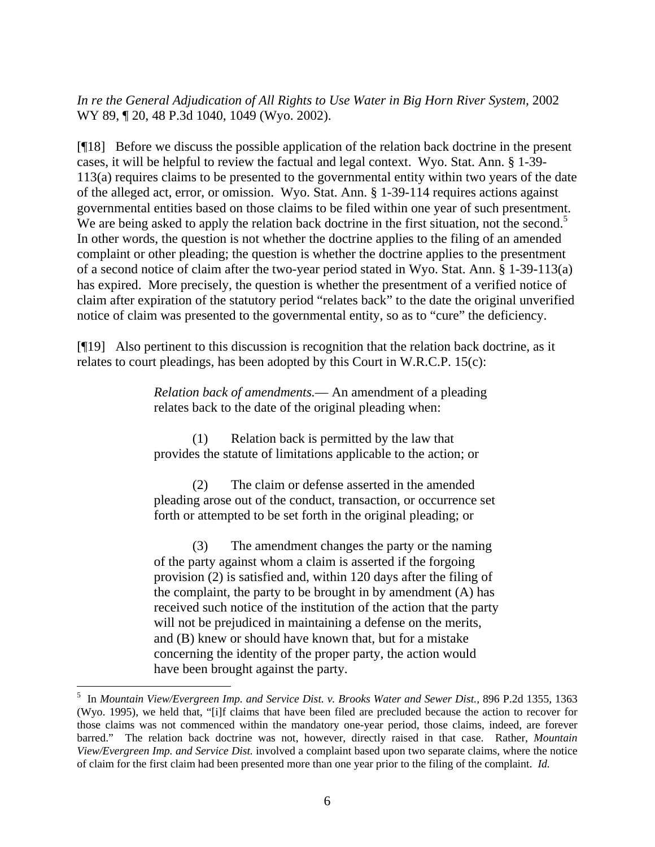In re the General Adjudication of All Rights to Use Water in Big Horn River System, 2002 WY 89, ¶ 20, 48 P.3d 1040, 1049 (Wyo. 2002).

[¶18] Before we discuss the possible application of the relation back doctrine in the present cases, it will be helpful to review the factual and legal context. Wyo. Stat. Ann. § 1-39- 113(a) requires claims to be presented to the governmental entity within two years of the date of the alleged act, error, or omission. Wyo. Stat. Ann. § 1-39-114 requires actions against governmental entities based on those claims to be filed within one year of such presentment. We are being asked to apply the relation back doctrine in the first situation, not the second.<sup>[5](#page-7-0)</sup> In other words, the question is not whether the doctrine applies to the filing of an amended complaint or other pleading; the question is whether the doctrine applies to the presentment of a second notice of claim after the two-year period stated in Wyo. Stat. Ann. § 1-39-113(a) has expired. More precisely, the question is whether the presentment of a verified notice of claim after expiration of the statutory period "relates back" to the date the original unverified notice of claim was presented to the governmental entity, so as to "cure" the deficiency.

[¶19] Also pertinent to this discussion is recognition that the relation back doctrine, as it relates to court pleadings, has been adopted by this Court in W.R.C.P. 15(c):

> *Relation back of amendments.*— An amendment of a pleading relates back to the date of the original pleading when:

(1) Relation back is permitted by the law that provides the statute of limitations applicable to the action; or

(2) The claim or defense asserted in the amended pleading arose out of the conduct, transaction, or occurrence set forth or attempted to be set forth in the original pleading; or

(3) The amendment changes the party or the naming of the party against whom a claim is asserted if the forgoing provision (2) is satisfied and, within 120 days after the filing of the complaint, the party to be brought in by amendment (A) has received such notice of the institution of the action that the party will not be prejudiced in maintaining a defense on the merits, and (B) knew or should have known that, but for a mistake concerning the identity of the proper party, the action would have been brought against the party.

<span id="page-7-0"></span><sup>&</sup>lt;sup>5</sup> In *Mountain View/Evergreen Imp. and Service Dist. v. Brooks Water and Sewer Dist., 896 P.2d 1355, 1363* (Wyo. 1995), we held that, "[i]f claims that have been filed are precluded because the action to recover for those claims was not commenced within the mandatory one-year period, those claims, indeed, are forever barred." The relation back doctrine was not, however, directly raised in that case. Rather, *Mountain View/Evergreen Imp. and Service Dist.* involved a complaint based upon two separate claims, where the notice of claim for the first claim had been presented more than one year prior to the filing of the complaint. *Id.*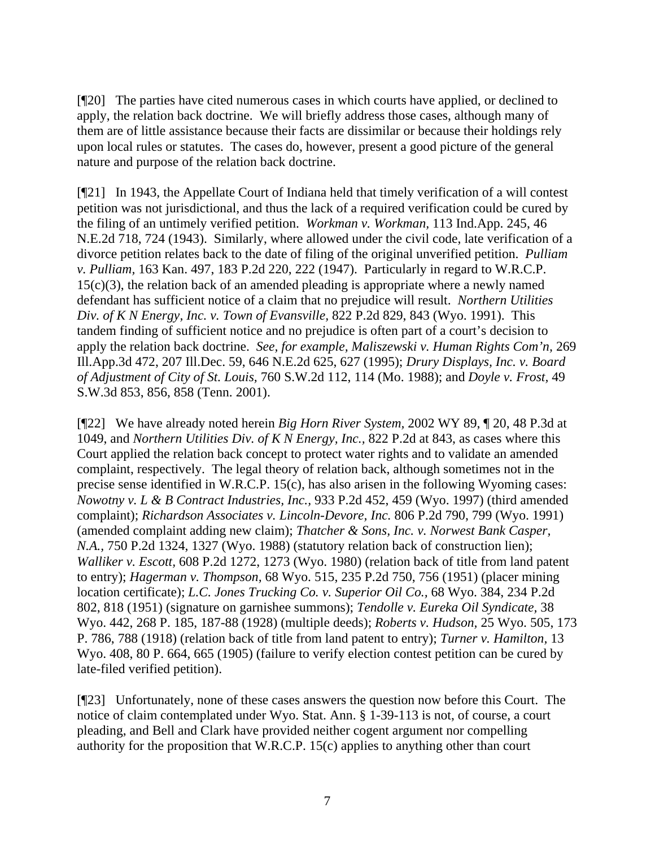[¶20] The parties have cited numerous cases in which courts have applied, or declined to apply, the relation back doctrine. We will briefly address those cases, although many of them are of little assistance because their facts are dissimilar or because their holdings rely upon local rules or statutes. The cases do, however, present a good picture of the general nature and purpose of the relation back doctrine.

[¶21] In 1943, the Appellate Court of Indiana held that timely verification of a will contest petition was not jurisdictional, and thus the lack of a required verification could be cured by the filing of an untimely verified petition. *Workman v. Workman,* 113 Ind.App. 245, 46 N.E.2d 718, 724 (1943). Similarly, where allowed under the civil code, late verification of a divorce petition relates back to the date of filing of the original unverified petition. *Pulliam v. Pulliam,* 163 Kan. 497, 183 P.2d 220, 222 (1947). Particularly in regard to W.R.C.P.  $15(c)(3)$ , the relation back of an amended pleading is appropriate where a newly named defendant has sufficient notice of a claim that no prejudice will result. *Northern Utilities Div. of K N Energy, Inc. v. Town of Evansville,* 822 P.2d 829, 843 (Wyo. 1991). This tandem finding of sufficient notice and no prejudice is often part of a court's decision to apply the relation back doctrine. *See, for example, Maliszewski v. Human Rights Com'n,* 269 Ill.App.3d 472, 207 Ill.Dec. 59, 646 N.E.2d 625, 627 (1995); *Drury Displays, Inc. v. Board of Adjustment of City of St. Louis,* 760 S.W.2d 112, 114 (Mo. 1988); and *Doyle v. Frost,* 49 S.W.3d 853, 856, 858 (Tenn. 2001).

[¶22] We have already noted herein *Big Horn River System,* 2002 WY 89, ¶ 20, 48 P.3d at 1049, and *Northern Utilities Div. of K N Energy, Inc.,* 822 P.2d at 843, as cases where this Court applied the relation back concept to protect water rights and to validate an amended complaint, respectively. The legal theory of relation back, although sometimes not in the precise sense identified in W.R.C.P. 15(c), has also arisen in the following Wyoming cases: *Nowotny v. L & B Contract Industries, Inc.,* 933 P.2d 452, 459 (Wyo. 1997) (third amended complaint); *Richardson Associates v. Lincoln-Devore, Inc.* 806 P.2d 790, 799 (Wyo. 1991) (amended complaint adding new claim); *Thatcher & Sons, Inc. v. Norwest Bank Casper, N.A.,* 750 P.2d 1324, 1327 (Wyo. 1988) (statutory relation back of construction lien); *Walliker v. Escott,* 608 P.2d 1272, 1273 (Wyo. 1980) (relation back of title from land patent to entry); *Hagerman v. Thompson,* 68 Wyo. 515, 235 P.2d 750, 756 (1951) (placer mining location certificate); *L.C. Jones Trucking Co. v. Superior Oil Co.,* 68 Wyo. 384, 234 P.2d 802, 818 (1951) (signature on garnishee summons); *Tendolle v. Eureka Oil Syndicate,* 38 Wyo. 442, 268 P. 185, 187-88 (1928) (multiple deeds); *Roberts v. Hudson,* 25 Wyo. 505, 173 P. 786, 788 (1918) (relation back of title from land patent to entry); *Turner v. Hamilton,* 13 Wyo. 408, 80 P. 664, 665 (1905) (failure to verify election contest petition can be cured by late-filed verified petition).

[¶23] Unfortunately, none of these cases answers the question now before this Court. The notice of claim contemplated under Wyo. Stat. Ann. § 1-39-113 is not, of course, a court pleading, and Bell and Clark have provided neither cogent argument nor compelling authority for the proposition that W.R.C.P. 15(c) applies to anything other than court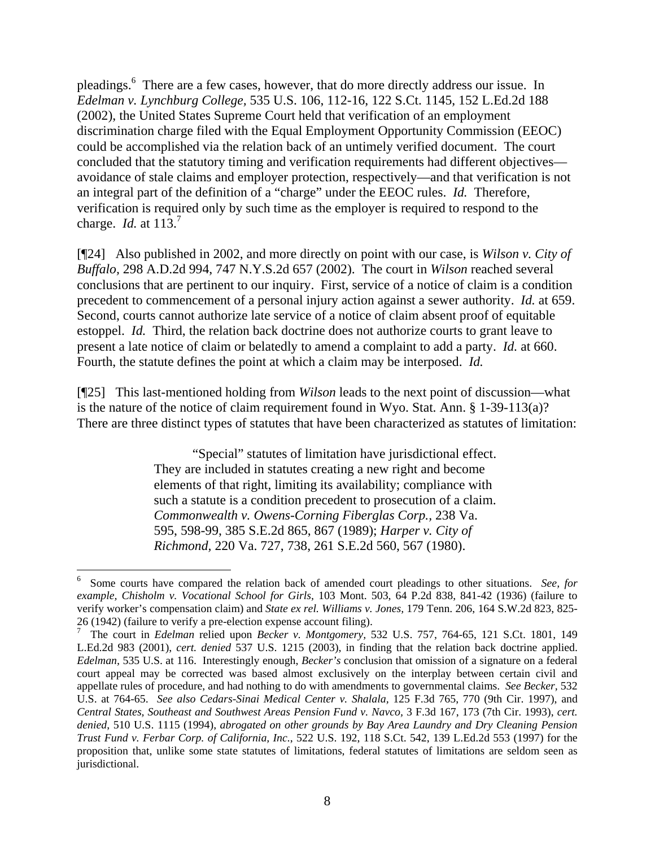pleadings.<sup>[6](#page-9-0)</sup> There are a few cases, however, that do more directly address our issue. In *Edelman v. Lynchburg College,* 535 U.S. 106, 112-16, 122 S.Ct. 1145, 152 L.Ed.2d 188 (2002), the United States Supreme Court held that verification of an employment discrimination charge filed with the Equal Employment Opportunity Commission (EEOC) could be accomplished via the relation back of an untimely verified document. The court concluded that the statutory timing and verification requirements had different objectives avoidance of stale claims and employer protection, respectively—and that verification is not an integral part of the definition of a "charge" under the EEOC rules. *Id.* Therefore, verification is required only by such time as the employer is required to respond to the charge. *Id.* at 113.<sup>[7](#page-9-1)</sup>

[¶24] Also published in 2002, and more directly on point with our case, is *Wilson v. City of Buffalo,* 298 A.D.2d 994, 747 N.Y.S.2d 657 (2002). The court in *Wilson* reached several conclusions that are pertinent to our inquiry. First, service of a notice of claim is a condition precedent to commencement of a personal injury action against a sewer authority. *Id.* at 659. Second, courts cannot authorize late service of a notice of claim absent proof of equitable estoppel. *Id.* Third, the relation back doctrine does not authorize courts to grant leave to present a late notice of claim or belatedly to amend a complaint to add a party. *Id.* at 660. Fourth, the statute defines the point at which a claim may be interposed. *Id.* 

[¶25] This last-mentioned holding from *Wilson* leads to the next point of discussion—what is the nature of the notice of claim requirement found in Wyo. Stat. Ann. § 1-39-113(a)? There are three distinct types of statutes that have been characterized as statutes of limitation:

> "Special" statutes of limitation have jurisdictional effect. They are included in statutes creating a new right and become elements of that right, limiting its availability; compliance with such a statute is a condition precedent to prosecution of a claim. *Commonwealth v. Owens-Corning Fiberglas Corp.,* 238 Va. 595, 598-99, 385 S.E.2d 865, 867 (1989); *Harper v. City of Richmond,* 220 Va. 727, 738, 261 S.E.2d 560, 567 (1980).

 $\overline{a}$ 

<span id="page-9-0"></span><sup>6</sup> Some courts have compared the relation back of amended court pleadings to other situations. *See, for example, Chisholm v. Vocational School for Girls,* 103 Mont. 503, 64 P.2d 838, 841-42 (1936) (failure to verify worker's compensation claim) and *State ex rel. Williams v. Jones,* 179 Tenn. 206, 164 S.W.2d 823, 825- 26 (1942) (failure to verify a pre-election expense account filing).

<span id="page-9-1"></span>The court in *Edelman* relied upon *Becker v. Montgomery,* 532 U.S. 757, 764-65, 121 S.Ct. 1801, 149 L.Ed.2d 983 (2001), *cert. denied* 537 U.S. 1215 (2003), in finding that the relation back doctrine applied. *Edelman,* 535 U.S. at 116. Interestingly enough, *Becker's* conclusion that omission of a signature on a federal court appeal may be corrected was based almost exclusively on the interplay between certain civil and appellate rules of procedure, and had nothing to do with amendments to governmental claims. *See Becker,* 532 U.S. at 764-65. *See also Cedars-Sinai Medical Center v. Shalala,* 125 F.3d 765, 770 (9th Cir. 1997), and *Central States, Southeast and Southwest Areas Pension Fund v. Navco,* 3 F.3d 167, 173 (7th Cir. 1993), *cert. denied*, 510 U.S. 1115 (1994), *abrogated on other grounds by Bay Area Laundry and Dry Cleaning Pension Trust Fund v. Ferbar Corp. of California, Inc.*, 522 U.S. 192, 118 S.Ct. 542, 139 L.Ed.2d 553 (1997) for the proposition that, unlike some state statutes of limitations, federal statutes of limitations are seldom seen as jurisdictional.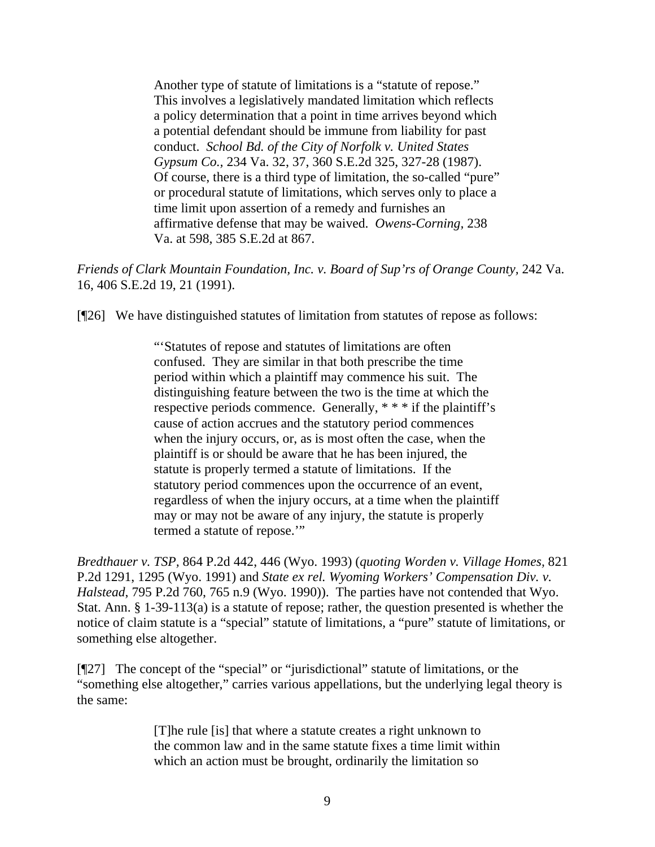Another type of statute of limitations is a "statute of repose." This involves a legislatively mandated limitation which reflects a policy determination that a point in time arrives beyond which a potential defendant should be immune from liability for past conduct. *School Bd. of the City of Norfolk v. United States Gypsum Co.,* 234 Va. 32, 37, 360 S.E.2d 325, 327-28 (1987). Of course, there is a third type of limitation, the so-called "pure" or procedural statute of limitations, which serves only to place a time limit upon assertion of a remedy and furnishes an affirmative defense that may be waived. *Owens-Corning,* 238 Va. at 598, 385 S.E.2d at 867.

*Friends of Clark Mountain Foundation, Inc. v. Board of Sup'rs of Orange County,* 242 Va. 16, 406 S.E.2d 19, 21 (1991).

[¶26] We have distinguished statutes of limitation from statutes of repose as follows:

"'Statutes of repose and statutes of limitations are often confused. They are similar in that both prescribe the time period within which a plaintiff may commence his suit. The distinguishing feature between the two is the time at which the respective periods commence. Generally, \* \* \* if the plaintiff's cause of action accrues and the statutory period commences when the injury occurs, or, as is most often the case, when the plaintiff is or should be aware that he has been injured, the statute is properly termed a statute of limitations. If the statutory period commences upon the occurrence of an event, regardless of when the injury occurs, at a time when the plaintiff may or may not be aware of any injury, the statute is properly termed a statute of repose."

*Bredthauer v. TSP,* 864 P.2d 442, 446 (Wyo. 1993) (*quoting Worden v. Village Homes,* 821 P.2d 1291, 1295 (Wyo. 1991) and *State ex rel. Wyoming Workers' Compensation Div. v. Halstead*, 795 P.2d 760, 765 n.9 (Wyo. 1990)). The parties have not contended that Wyo. Stat. Ann. § 1-39-113(a) is a statute of repose; rather, the question presented is whether the notice of claim statute is a "special" statute of limitations, a "pure" statute of limitations, or something else altogether.

[¶27] The concept of the "special" or "jurisdictional" statute of limitations, or the "something else altogether," carries various appellations, but the underlying legal theory is the same:

> [T]he rule [is] that where a statute creates a right unknown to the common law and in the same statute fixes a time limit within which an action must be brought, ordinarily the limitation so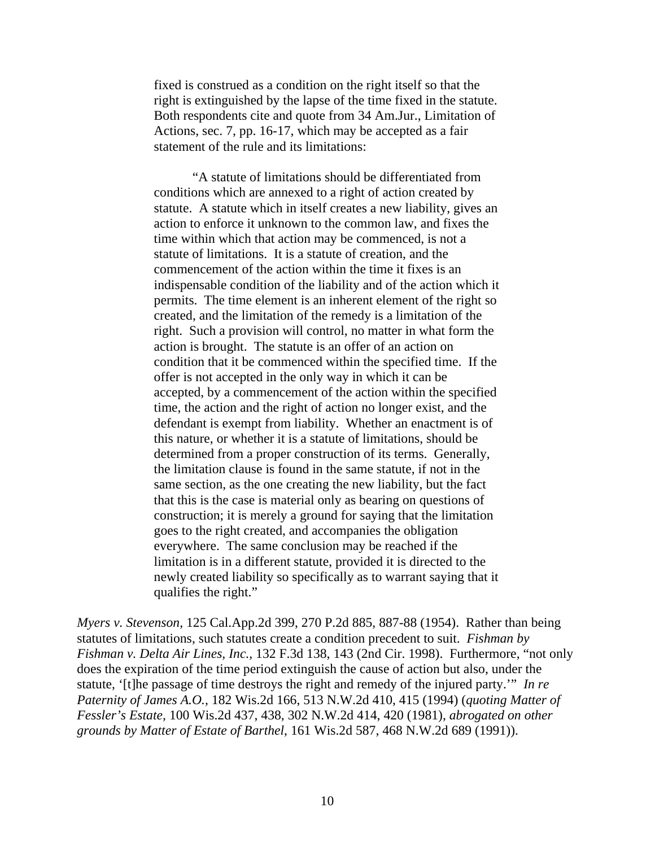fixed is construed as a condition on the right itself so that the right is extinguished by the lapse of the time fixed in the statute. Both respondents cite and quote from 34 Am.Jur., Limitation of Actions, sec. 7, pp. 16-17, which may be accepted as a fair statement of the rule and its limitations:

"A statute of limitations should be differentiated from conditions which are annexed to a right of action created by statute. A statute which in itself creates a new liability, gives an action to enforce it unknown to the common law, and fixes the time within which that action may be commenced, is not a statute of limitations. It is a statute of creation, and the commencement of the action within the time it fixes is an indispensable condition of the liability and of the action which it permits. The time element is an inherent element of the right so created, and the limitation of the remedy is a limitation of the right. Such a provision will control, no matter in what form the action is brought. The statute is an offer of an action on condition that it be commenced within the specified time. If the offer is not accepted in the only way in which it can be accepted, by a commencement of the action within the specified time, the action and the right of action no longer exist, and the defendant is exempt from liability. Whether an enactment is of this nature, or whether it is a statute of limitations, should be determined from a proper construction of its terms. Generally, the limitation clause is found in the same statute, if not in the same section, as the one creating the new liability, but the fact that this is the case is material only as bearing on questions of construction; it is merely a ground for saying that the limitation goes to the right created, and accompanies the obligation everywhere. The same conclusion may be reached if the limitation is in a different statute, provided it is directed to the newly created liability so specifically as to warrant saying that it qualifies the right."

*Myers v. Stevenson,* 125 Cal.App.2d 399, 270 P.2d 885, 887-88 (1954). Rather than being statutes of limitations, such statutes create a condition precedent to suit. *Fishman by Fishman v. Delta Air Lines, Inc.,* 132 F.3d 138, 143 (2nd Cir. 1998). Furthermore, "not only does the expiration of the time period extinguish the cause of action but also, under the statute, '[t]he passage of time destroys the right and remedy of the injured party.'" *In re Paternity of James A.O.,* 182 Wis.2d 166, 513 N.W.2d 410, 415 (1994) (*quoting Matter of Fessler's Estate,* 100 Wis.2d 437, 438, 302 N.W.2d 414, 420 (1981), *abrogated on other grounds by Matter of Estate of Barthel*, 161 Wis.2d 587, 468 N.W.2d 689 (1991)).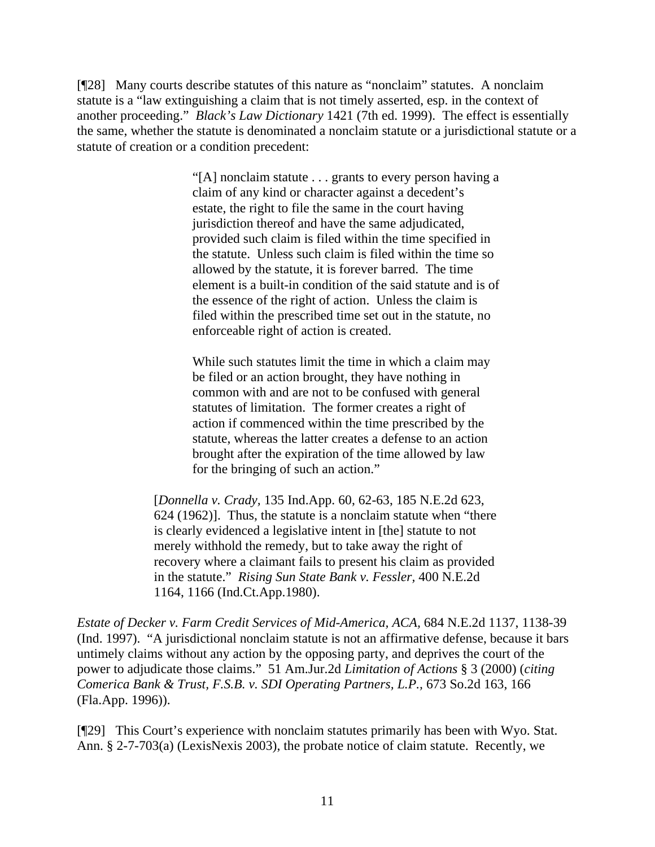[¶28] Many courts describe statutes of this nature as "nonclaim" statutes. A nonclaim statute is a "law extinguishing a claim that is not timely asserted, esp. in the context of another proceeding." *Black's Law Dictionary* 1421 (7th ed. 1999). The effect is essentially the same, whether the statute is denominated a nonclaim statute or a jurisdictional statute or a statute of creation or a condition precedent:

> "[A] nonclaim statute . . . grants to every person having a claim of any kind or character against a decedent's estate, the right to file the same in the court having jurisdiction thereof and have the same adjudicated, provided such claim is filed within the time specified in the statute. Unless such claim is filed within the time so allowed by the statute, it is forever barred. The time element is a built-in condition of the said statute and is of the essence of the right of action. Unless the claim is filed within the prescribed time set out in the statute, no enforceable right of action is created.

While such statutes limit the time in which a claim may be filed or an action brought, they have nothing in common with and are not to be confused with general statutes of limitation. The former creates a right of action if commenced within the time prescribed by the statute, whereas the latter creates a defense to an action brought after the expiration of the time allowed by law for the bringing of such an action."

[*Donnella v. Crady,* 135 Ind.App. 60, 62-63, 185 N.E.2d 623, 624 (1962)]. Thus, the statute is a nonclaim statute when "there is clearly evidenced a legislative intent in [the] statute to not merely withhold the remedy, but to take away the right of recovery where a claimant fails to present his claim as provided in the statute." *Rising Sun State Bank v. Fessler,* 400 N.E.2d 1164, 1166 (Ind.Ct.App.1980).

*Estate of Decker v. Farm Credit Services of Mid-America, ACA,* 684 N.E.2d 1137, 1138-39 (Ind. 1997). "A jurisdictional nonclaim statute is not an affirmative defense, because it bars untimely claims without any action by the opposing party, and deprives the court of the power to adjudicate those claims." 51 Am.Jur.2d *Limitation of Actions* § 3 (2000) (*citing Comerica Bank & Trust, F.S.B. v. SDI Operating Partners, L.P.,* 673 So.2d 163, 166 (Fla.App. 1996)).

[¶29] This Court's experience with nonclaim statutes primarily has been with Wyo. Stat. Ann. § 2-7-703(a) (LexisNexis 2003), the probate notice of claim statute. Recently, we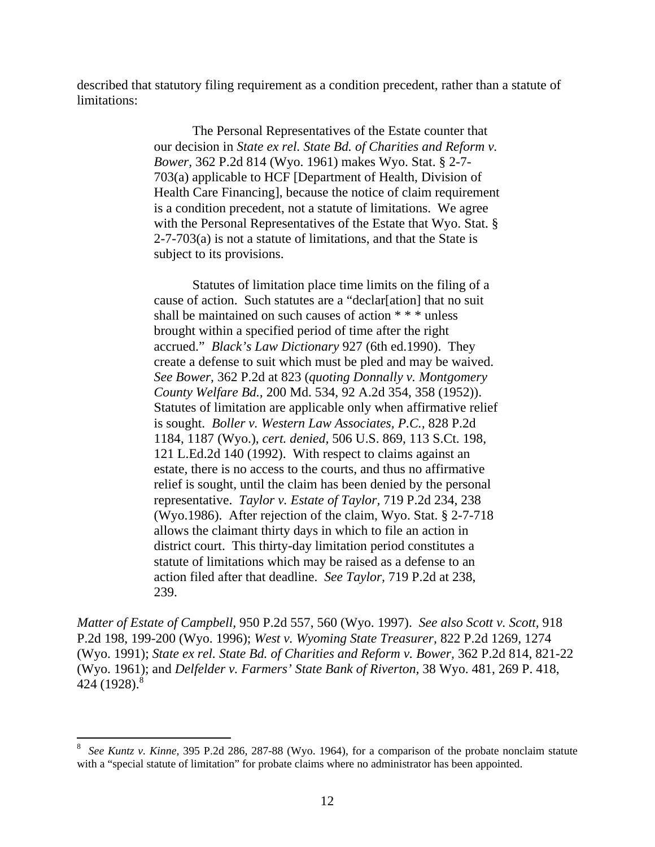described that statutory filing requirement as a condition precedent, rather than a statute of limitations:

> The Personal Representatives of the Estate counter that our decision in *State ex rel. State Bd. of Charities and Reform v. Bower,* 362 P.2d 814 (Wyo. 1961) makes Wyo. Stat. § 2-7- 703(a) applicable to HCF [Department of Health, Division of Health Care Financing], because the notice of claim requirement is a condition precedent, not a statute of limitations. We agree with the Personal Representatives of the Estate that Wyo. Stat. § 2-7-703(a) is not a statute of limitations, and that the State is subject to its provisions.

> Statutes of limitation place time limits on the filing of a cause of action. Such statutes are a "declar[ation] that no suit shall be maintained on such causes of action \* \* \* unless brought within a specified period of time after the right accrued." *Black's Law Dictionary* 927 (6th ed.1990). They create a defense to suit which must be pled and may be waived. *See Bower,* 362 P.2d at 823 (*quoting Donnally v. Montgomery County Welfare Bd.,* 200 Md. 534, 92 A.2d 354, 358 (1952)). Statutes of limitation are applicable only when affirmative relief is sought. *Boller v. Western Law Associates, P.C.,* 828 P.2d 1184, 1187 (Wyo.), *cert. denied,* 506 U.S. 869, 113 S.Ct. 198, 121 L.Ed.2d 140 (1992). With respect to claims against an estate, there is no access to the courts, and thus no affirmative relief is sought, until the claim has been denied by the personal representative. *Taylor v. Estate of Taylor,* 719 P.2d 234, 238 (Wyo.1986). After rejection of the claim, Wyo. Stat. § 2-7-718 allows the claimant thirty days in which to file an action in district court. This thirty-day limitation period constitutes a statute of limitations which may be raised as a defense to an action filed after that deadline. *See Taylor,* 719 P.2d at 238, 239.

*Matter of Estate of Campbell,* 950 P.2d 557, 560 (Wyo. 1997). *See also Scott v. Scott,* 918 P.2d 198, 199-200 (Wyo. 1996); *West v. Wyoming State Treasurer,* 822 P.2d 1269, 1274 (Wyo. 1991); *State ex rel. State Bd. of Charities and Reform v. Bower,* 362 P.2d 814, 821-22 (Wyo. 1961); and *Delfelder v. Farmers' State Bank of Riverton,* 38 Wyo. 481, 269 P. 418, 424 (192[8](#page-13-0)).<sup>8</sup>

<span id="page-13-0"></span><sup>8</sup> *See Kuntz v. Kinne,* 395 P.2d 286, 287-88 (Wyo. 1964), for a comparison of the probate nonclaim statute with a "special statute of limitation" for probate claims where no administrator has been appointed.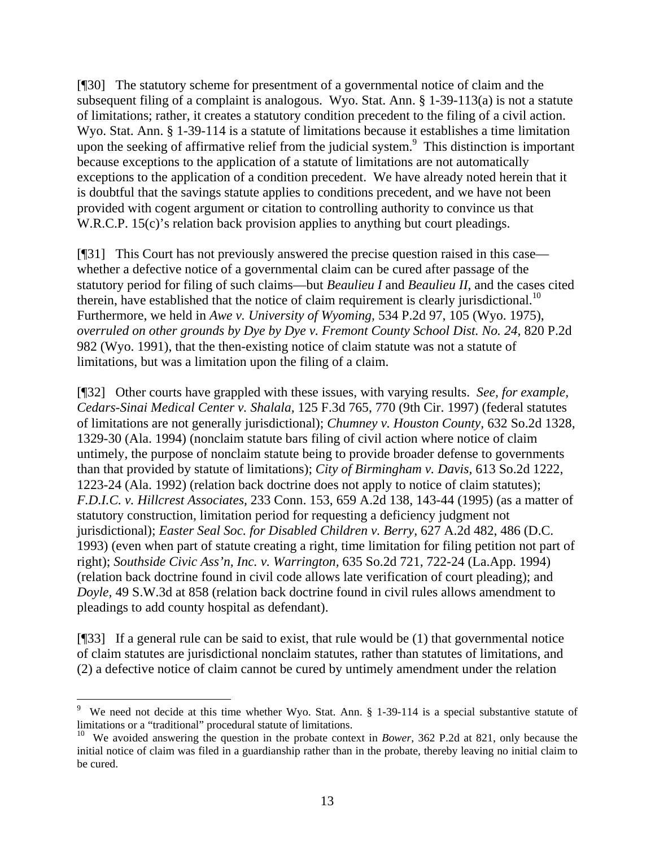[¶30] The statutory scheme for presentment of a governmental notice of claim and the subsequent filing of a complaint is analogous. Wyo. Stat. Ann. § 1-39-113(a) is not a statute of limitations; rather, it creates a statutory condition precedent to the filing of a civil action. Wyo. Stat. Ann. § 1-39-114 is a statute of limitations because it establishes a time limitation uponthe seeking of affirmative relief from the judicial system.<sup>9</sup> This distinction is important because exceptions to the application of a statute of limitations are not automatically exceptions to the application of a condition precedent. We have already noted herein that it is doubtful that the savings statute applies to conditions precedent, and we have not been provided with cogent argument or citation to controlling authority to convince us that W.R.C.P. 15(c)'s relation back provision applies to anything but court pleadings.

[¶31] This Court has not previously answered the precise question raised in this case whether a defective notice of a governmental claim can be cured after passage of the statutory period for filing of such claims—but *Beaulieu I* and *Beaulieu II*, and the cases cited therein, have established that the notice of claim requirement is clearly jurisdictional.<sup>10</sup> Furthermore, we held in *Awe v. University of Wyoming,* 534 P.2d 97, 105 (Wyo. 1975), *overruled on other grounds by Dye by Dye v. Fremont County School Dist. No. 24*, 820 P.2d 982 (Wyo. 1991), that the then-existing notice of claim statute was not a statute of limitations, but was a limitation upon the filing of a claim.

[¶32] Other courts have grappled with these issues, with varying results. *See, for example, Cedars-Sinai Medical Center v. Shalala,* 125 F.3d 765, 770 (9th Cir. 1997) (federal statutes of limitations are not generally jurisdictional); *Chumney v. Houston County,* 632 So.2d 1328, 1329-30 (Ala. 1994) (nonclaim statute bars filing of civil action where notice of claim untimely, the purpose of nonclaim statute being to provide broader defense to governments than that provided by statute of limitations); *City of Birmingham v. Davis,* 613 So.2d 1222, 1223-24 (Ala. 1992) (relation back doctrine does not apply to notice of claim statutes); *F.D.I.C. v. Hillcrest Associates,* 233 Conn. 153, 659 A.2d 138, 143-44 (1995) (as a matter of statutory construction, limitation period for requesting a deficiency judgment not jurisdictional); *Easter Seal Soc. for Disabled Children v. Berry,* 627 A.2d 482, 486 (D.C. 1993) (even when part of statute creating a right, time limitation for filing petition not part of right); *Southside Civic Ass'n, Inc. v. Warrington,* 635 So.2d 721, 722-24 (La.App. 1994) (relation back doctrine found in civil code allows late verification of court pleading); and *Doyle,* 49 S.W.3d at 858 (relation back doctrine found in civil rules allows amendment to pleadings to add county hospital as defendant).

[¶33] If a general rule can be said to exist, that rule would be (1) that governmental notice of claim statutes are jurisdictional nonclaim statutes, rather than statutes of limitations, and (2) a defective notice of claim cannot be cured by untimely amendment under the relation

 $\overline{a}$ 

<span id="page-14-0"></span><sup>9</sup> We need not decide at this time whether Wyo. Stat. Ann. § 1-39-114 is a special substantive statute of limitations or a "traditional" procedural statute of limitations.

<span id="page-14-1"></span><sup>&</sup>lt;sup>10</sup> We avoided answering the question in the probate context in *Bower*, 362 P.2d at 821, only because the initial notice of claim was filed in a guardianship rather than in the probate, thereby leaving no initial claim to be cured.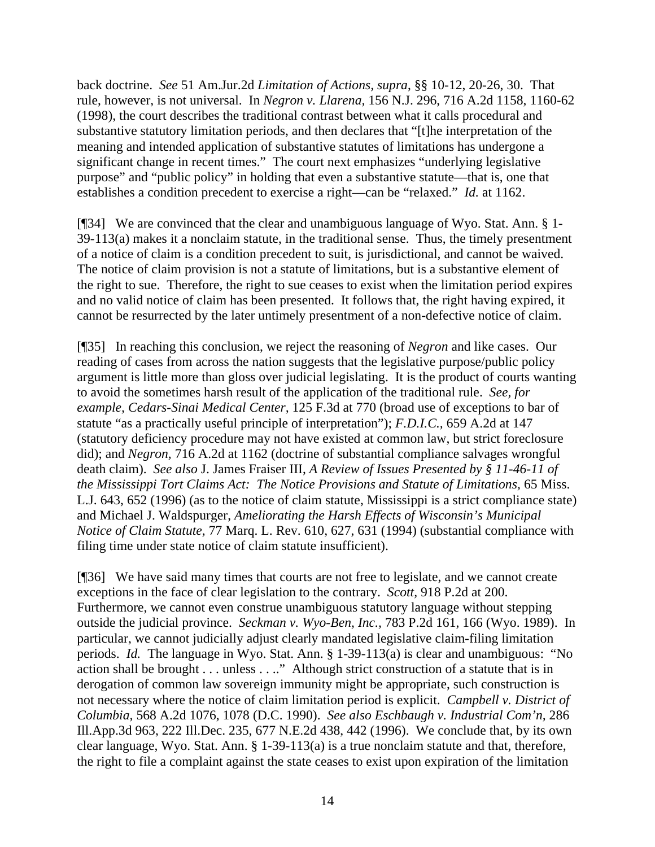back doctrine. *See* 51 Am.Jur.2d *Limitation of Actions, supra*, §§ 10-12, 20-26, 30. That rule, however, is not universal. In *Negron v. Llarena,* 156 N.J. 296, 716 A.2d 1158, 1160-62 (1998), the court describes the traditional contrast between what it calls procedural and substantive statutory limitation periods, and then declares that "[t]he interpretation of the meaning and intended application of substantive statutes of limitations has undergone a significant change in recent times." The court next emphasizes "underlying legislative purpose" and "public policy" in holding that even a substantive statute—that is, one that establishes a condition precedent to exercise a right—can be "relaxed." *Id.* at 1162.

[¶34] We are convinced that the clear and unambiguous language of Wyo. Stat. Ann. § 1- 39-113(a) makes it a nonclaim statute, in the traditional sense. Thus, the timely presentment of a notice of claim is a condition precedent to suit, is jurisdictional, and cannot be waived. The notice of claim provision is not a statute of limitations, but is a substantive element of the right to sue. Therefore, the right to sue ceases to exist when the limitation period expires and no valid notice of claim has been presented. It follows that, the right having expired, it cannot be resurrected by the later untimely presentment of a non-defective notice of claim.

[¶35] In reaching this conclusion, we reject the reasoning of *Negron* and like cases. Our reading of cases from across the nation suggests that the legislative purpose/public policy argument is little more than gloss over judicial legislating. It is the product of courts wanting to avoid the sometimes harsh result of the application of the traditional rule. *See, for example, Cedars-Sinai Medical Center,* 125 F.3d at 770 (broad use of exceptions to bar of statute "as a practically useful principle of interpretation"); *F.D.I.C.,* 659 A.2d at 147 (statutory deficiency procedure may not have existed at common law, but strict foreclosure did); and *Negron,* 716 A.2d at 1162 (doctrine of substantial compliance salvages wrongful death claim). *See also* J. James Fraiser III, *A Review of Issues Presented by § 11-46-11 of the Mississippi Tort Claims Act: The Notice Provisions and Statute of Limitations,* 65 Miss. L.J. 643, 652 (1996) (as to the notice of claim statute, Mississippi is a strict compliance state) and Michael J. Waldspurger, *Ameliorating the Harsh Effects of Wisconsin's Municipal Notice of Claim Statute,* 77 Marq. L. Rev. 610, 627, 631 (1994) (substantial compliance with filing time under state notice of claim statute insufficient).

[¶36] We have said many times that courts are not free to legislate, and we cannot create exceptions in the face of clear legislation to the contrary. *Scott,* 918 P.2d at 200. Furthermore, we cannot even construe unambiguous statutory language without stepping outside the judicial province. *Seckman v. Wyo-Ben, Inc.,* 783 P.2d 161, 166 (Wyo. 1989). In particular, we cannot judicially adjust clearly mandated legislative claim-filing limitation periods. *Id.* The language in Wyo. Stat. Ann. § 1-39-113(a) is clear and unambiguous: "No action shall be brought . . . unless . . .." Although strict construction of a statute that is in derogation of common law sovereign immunity might be appropriate, such construction is not necessary where the notice of claim limitation period is explicit. *Campbell v. District of Columbia,* 568 A.2d 1076, 1078 (D.C. 1990). *See also Eschbaugh v. Industrial Com'n,* 286 Ill.App.3d 963, 222 Ill.Dec. 235, 677 N.E.2d 438, 442 (1996). We conclude that, by its own clear language, Wyo. Stat. Ann. § 1-39-113(a) is a true nonclaim statute and that, therefore, the right to file a complaint against the state ceases to exist upon expiration of the limitation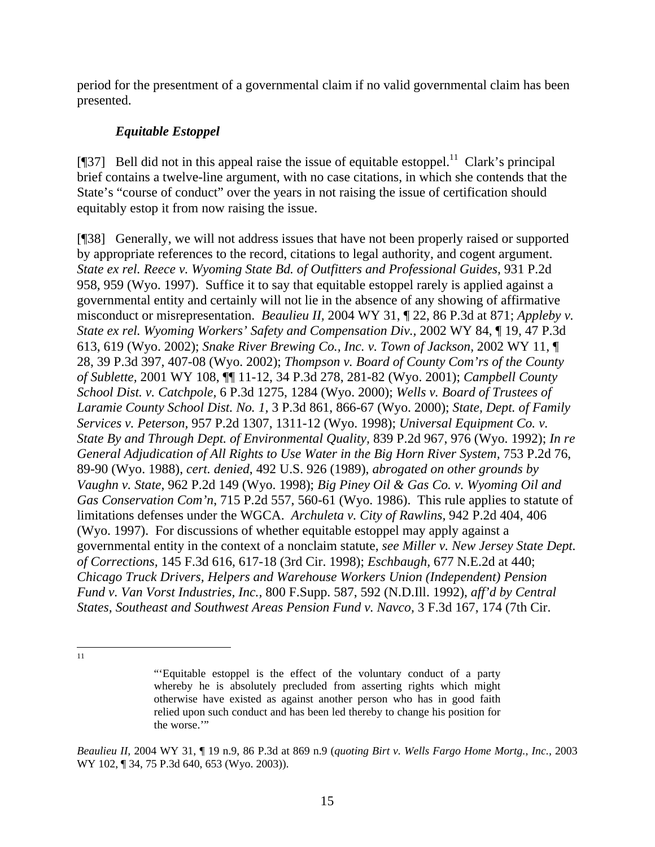period for the presentment of a governmental claim if no valid governmental claim has been presented.

# *Equitable Estoppel*

[ $[$ ]37] Bell did not in this appeal raise the issue of equitable estoppel.<sup>11</sup> Clark's principal brief contains a twelve-line argument, with no case citations, in which she contends that the State's "course of conduct" over the years in not raising the issue of certification should equitably estop it from now raising the issue.

[¶38] Generally, we will not address issues that have not been properly raised or supported by appropriate references to the record, citations to legal authority, and cogent argument. *State ex rel. Reece v. Wyoming State Bd. of Outfitters and Professional Guides,* 931 P.2d 958, 959 (Wyo. 1997). Suffice it to say that equitable estoppel rarely is applied against a governmental entity and certainly will not lie in the absence of any showing of affirmative misconduct or misrepresentation. *Beaulieu II,* 2004 WY 31, ¶ 22, 86 P.3d at 871; *Appleby v. State ex rel. Wyoming Workers' Safety and Compensation Div.,* 2002 WY 84, ¶ 19, 47 P.3d 613, 619 (Wyo. 2002); *Snake River Brewing Co., Inc. v. Town of Jackson,* 2002 WY 11, ¶ 28, 39 P.3d 397, 407-08 (Wyo. 2002); *Thompson v. Board of County Com'rs of the County of Sublette,* 2001 WY 108, ¶¶ 11-12, 34 P.3d 278, 281-82 (Wyo. 2001); *Campbell County School Dist. v. Catchpole,* 6 P.3d 1275, 1284 (Wyo. 2000); *Wells v. Board of Trustees of Laramie County School Dist. No. 1,* 3 P.3d 861, 866-67 (Wyo. 2000); *State, Dept. of Family Services v. Peterson,* 957 P.2d 1307, 1311-12 (Wyo. 1998); *Universal Equipment Co. v. State By and Through Dept. of Environmental Quality,* 839 P.2d 967, 976 (Wyo. 1992); *In re General Adjudication of All Rights to Use Water in the Big Horn River System, 753 P.2d 76,* 89-90 (Wyo. 1988), *cert. denied*, 492 U.S. 926 (1989), *abrogated on other grounds by Vaughn v. State*, 962 P.2d 149 (Wyo. 1998); *Big Piney Oil & Gas Co. v. Wyoming Oil and Gas Conservation Com'n*, 715 P.2d 557, 560-61 (Wyo. 1986). This rule applies to statute of limitations defenses under the WGCA. *Archuleta v. City of Rawlins,* 942 P.2d 404, 406 (Wyo. 1997). For discussions of whether equitable estoppel may apply against a governmental entity in the context of a nonclaim statute, *see Miller v. New Jersey State Dept. of Corrections,* 145 F.3d 616, 617-18 (3rd Cir. 1998); *Eschbaugh,* 677 N.E.2d at 440; *Chicago Truck Drivers, Helpers and Warehouse Workers Union (Independent) Pension Fund v. Van Vorst Industries, Inc.,* 800 F.Supp. 587, 592 (N.D.Ill. 1992), *aff'd by Central States, Southeast and Southwest Areas Pension Fund v. Navco,* 3 F.3d 167, 174 (7th Cir.

<span id="page-16-0"></span> $\overline{a}$ 11

<sup>&</sup>quot;'Equitable estoppel is the effect of the voluntary conduct of a party whereby he is absolutely precluded from asserting rights which might otherwise have existed as against another person who has in good faith relied upon such conduct and has been led thereby to change his position for the worse."

*Beaulieu II,* 2004 WY 31, ¶ 19 n.9, 86 P.3d at 869 n.9 (*quoting Birt v. Wells Fargo Home Mortg., Inc.,* 2003 WY 102, ¶ 34, 75 P.3d 640, 653 (Wyo. 2003)).